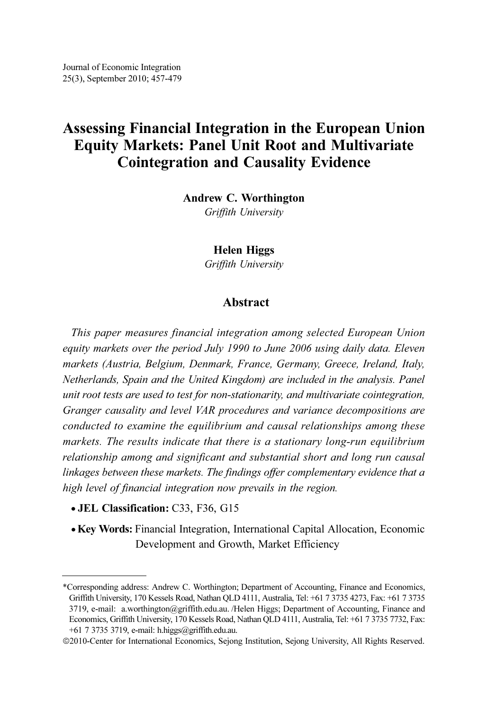# Assessing Financial Integration in the European Union Equity Markets: Panel Unit Root and Multivariate Cointegration and Causality Evidence

Andrew C. Worthington

Griffith University

Helen Higgs

Griffith University

# Abstract

This paper measures financial integration among selected European Union equity markets over the period July 1990 to June 2006 using daily data. Eleven markets (Austria, Belgium, Denmark, France, Germany, Greece, Ireland, Italy, Netherlands, Spain and the United Kingdom) are included in the analysis. Panel unit root tests are used to test for non-stationarity, and multivariate cointegration, Granger causality and level VAR procedures and variance decompositions are conducted to examine the equilibrium and causal relationships among these markets. The results indicate that there is a stationary long-run equilibrium relationship among and significant and substantial short and long run causal linkages between these markets. The findings offer complementary evidence that a high level of financial integration now prevails in the region.

- JEL Classification: C33, F36, G15
- Key Words: Financial Integration, International Capital Allocation, Economic Development and Growth, Market Efficiency

<sup>\*</sup>Corresponding address: Andrew C. Worthington; Department of Accounting, Finance and Economics, Griffith University, 170 Kessels Road, Nathan QLD 4111, Australia, Tel: +61 7 3735 4273, Fax: +61 7 3735 3719, e-mail: a.worthington@griffith.edu.au. /Helen Higgs; Department of Accounting, Finance and Economics, Griffith University, 170 Kessels Road, Nathan QLD 4111, Australia, Tel: +61 7 3735 7732, Fax: +61 7 3735 3719, e-mail: h.higgs@griffith.edu.au.

<sup>©</sup>2010-Center for International Economics, Sejong Institution, Sejong University, All Rights Reserved.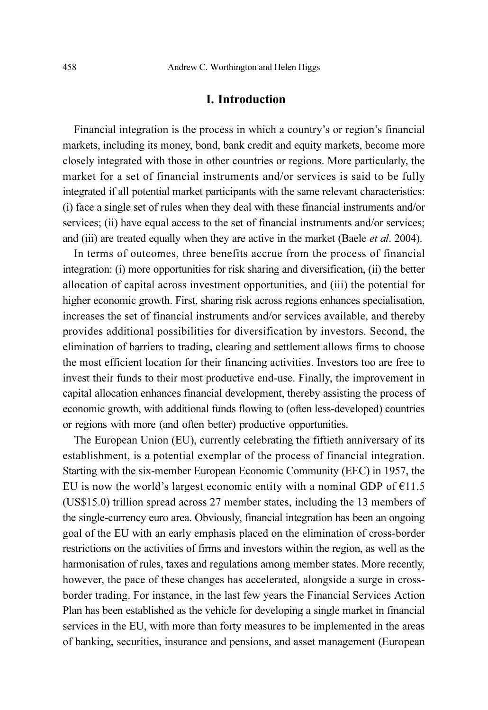# I. Introduction

Financial integration is the process in which a country's or region's financial markets, including its money, bond, bank credit and equity markets, become more closely integrated with those in other countries or regions. More particularly, the market for a set of financial instruments and/or services is said to be fully integrated if all potential market participants with the same relevant characteristics: (i) face a single set of rules when they deal with these financial instruments and/or services; (ii) have equal access to the set of financial instruments and/or services; and (iii) are treated equally when they are active in the market (Baele *et al.* 2004).

In terms of outcomes, three benefits accrue from the process of financial integration: (i) more opportunities for risk sharing and diversification, (ii) the better allocation of capital across investment opportunities, and (iii) the potential for higher economic growth. First, sharing risk across regions enhances specialisation, increases the set of financial instruments and/or services available, and thereby provides additional possibilities for diversification by investors. Second, the elimination of barriers to trading, clearing and settlement allows firms to choose the most efficient location for their financing activities. Investors too are free to invest their funds to their most productive end-use. Finally, the improvement in capital allocation enhances financial development, thereby assisting the process of economic growth, with additional funds flowing to (often less-developed) countries or regions with more (and often better) productive opportunities.

The European Union (EU), currently celebrating the fiftieth anniversary of its establishment, is a potential exemplar of the process of financial integration. Starting with the six-member European Economic Community (EEC) in 1957, the EU is now the world's largest economic entity with a nominal GDP of  $E11.5$ (US\$15.0) trillion spread across 27 member states, including the 13 members of the single-currency euro area. Obviously, financial integration has been an ongoing goal of the EU with an early emphasis placed on the elimination of cross-border restrictions on the activities of firms and investors within the region, as well as the harmonisation of rules, taxes and regulations among member states. More recently, however, the pace of these changes has accelerated, alongside a surge in crossborder trading. For instance, in the last few years the Financial Services Action Plan has been established as the vehicle for developing a single market in financial services in the EU, with more than forty measures to be implemented in the areas of banking, securities, insurance and pensions, and asset management (European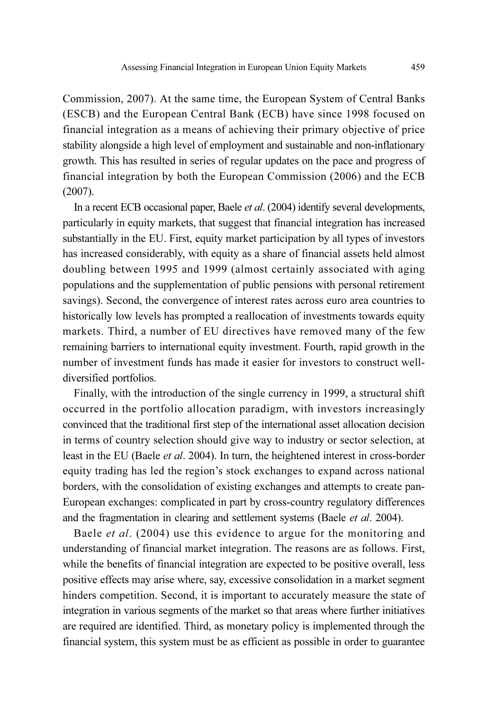Commission, 2007). At the same time, the European System of Central Banks (ESCB) and the European Central Bank (ECB) have since 1998 focused on financial integration as a means of achieving their primary objective of price stability alongside a high level of employment and sustainable and non-inflationary growth. This has resulted in series of regular updates on the pace and progress of financial integration by both the European Commission (2006) and the ECB (2007).

In a recent ECB occasional paper, Baele et al. (2004) identify several developments, particularly in equity markets, that suggest that financial integration has increased substantially in the EU. First, equity market participation by all types of investors has increased considerably, with equity as a share of financial assets held almost doubling between 1995 and 1999 (almost certainly associated with aging populations and the supplementation of public pensions with personal retirement savings). Second, the convergence of interest rates across euro area countries to historically low levels has prompted a reallocation of investments towards equity markets. Third, a number of EU directives have removed many of the few remaining barriers to international equity investment. Fourth, rapid growth in the number of investment funds has made it easier for investors to construct welldiversified portfolios.

Finally, with the introduction of the single currency in 1999, a structural shift occurred in the portfolio allocation paradigm, with investors increasingly convinced that the traditional first step of the international asset allocation decision in terms of country selection should give way to industry or sector selection, at least in the EU (Baele et al. 2004). In turn, the heightened interest in cross-border equity trading has led the region's stock exchanges to expand across national borders, with the consolidation of existing exchanges and attempts to create pan-European exchanges: complicated in part by cross-country regulatory differences and the fragmentation in clearing and settlement systems (Baele et al. 2004).

Baele *et al.* (2004) use this evidence to argue for the monitoring and understanding of financial market integration. The reasons are as follows. First, while the benefits of financial integration are expected to be positive overall, less positive effects may arise where, say, excessive consolidation in a market segment hinders competition. Second, it is important to accurately measure the state of integration in various segments of the market so that areas where further initiatives are required are identified. Third, as monetary policy is implemented through the financial system, this system must be as efficient as possible in order to guarantee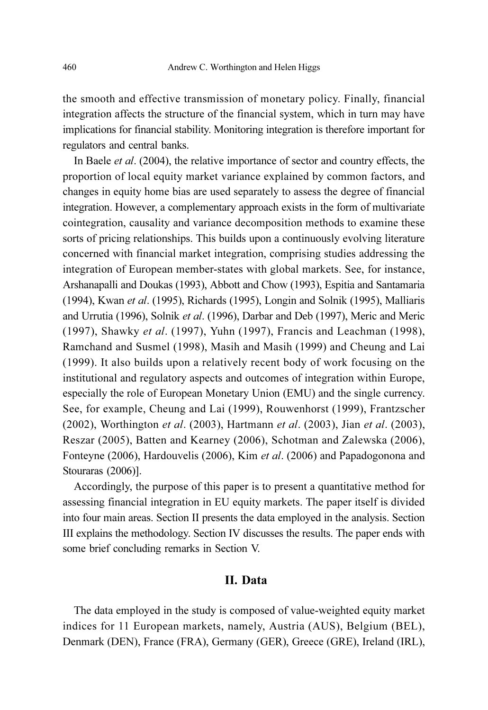the smooth and effective transmission of monetary policy. Finally, financial integration affects the structure of the financial system, which in turn may have implications for financial stability. Monitoring integration is therefore important for regulators and central banks.

In Baele et al. (2004), the relative importance of sector and country effects, the proportion of local equity market variance explained by common factors, and changes in equity home bias are used separately to assess the degree of financial integration. However, a complementary approach exists in the form of multivariate cointegration, causality and variance decomposition methods to examine these sorts of pricing relationships. This builds upon a continuously evolving literature concerned with financial market integration, comprising studies addressing the integration of European member-states with global markets. See, for instance, Arshanapalli and Doukas (1993), Abbott and Chow (1993), Espitia and Santamaria (1994), Kwan et al. (1995), Richards (1995), Longin and Solnik (1995), Malliaris and Urrutia (1996), Solnik et al. (1996), Darbar and Deb (1997), Meric and Meric (1997), Shawky et al. (1997), Yuhn (1997), Francis and Leachman (1998), Ramchand and Susmel (1998), Masih and Masih (1999) and Cheung and Lai (1999). It also builds upon a relatively recent body of work focusing on the institutional and regulatory aspects and outcomes of integration within Europe, especially the role of European Monetary Union (EMU) and the single currency. See, for example, Cheung and Lai (1999), Rouwenhorst (1999), Frantzscher (2002), Worthington et al. (2003), Hartmann et al. (2003), Jian et al. (2003), Reszar (2005), Batten and Kearney (2006), Schotman and Zalewska (2006), Fonteyne (2006), Hardouvelis (2006), Kim et al. (2006) and Papadogonona and Stouraras (2006)].

Accordingly, the purpose of this paper is to present a quantitative method for assessing financial integration in EU equity markets. The paper itself is divided into four main areas. Section II presents the data employed in the analysis. Section III explains the methodology. Section IV discusses the results. The paper ends with some brief concluding remarks in Section V.

# II. Data

The data employed in the study is composed of value-weighted equity market indices for 11 European markets, namely, Austria (AUS), Belgium (BEL), Denmark (DEN), France (FRA), Germany (GER), Greece (GRE), Ireland (IRL),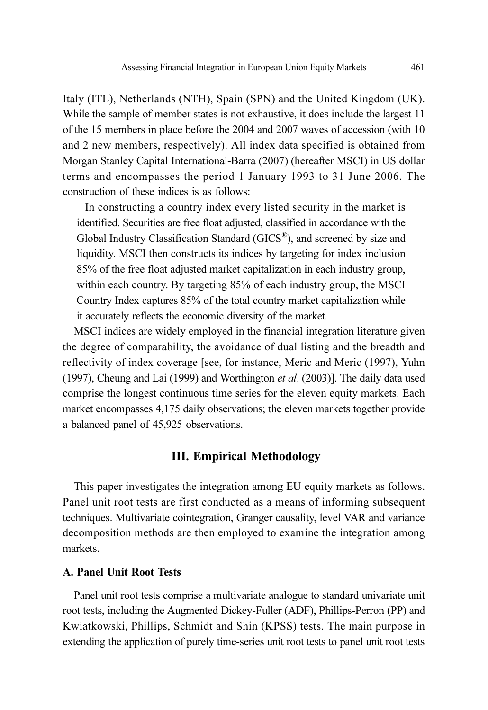Italy (ITL), Netherlands (NTH), Spain (SPN) and the United Kingdom (UK). While the sample of member states is not exhaustive, it does include the largest 11 of the 15 members in place before the 2004 and 2007 waves of accession (with 10 and 2 new members, respectively). All index data specified is obtained from Morgan Stanley Capital International-Barra (2007) (hereafter MSCI) in US dollar terms and encompasses the period 1 January 1993 to 31 June 2006. The construction of these indices is as follows:

In constructing a country index every listed security in the market is identified. Securities are free float adjusted, classified in accordance with the Global Industry Classification Standard (GICS®), and screened by size and liquidity. MSCI then constructs its indices by targeting for index inclusion 85% of the free float adjusted market capitalization in each industry group, within each country. By targeting 85% of each industry group, the MSCI Country Index captures 85% of the total country market capitalization while it accurately reflects the economic diversity of the market.

MSCI indices are widely employed in the financial integration literature given the degree of comparability, the avoidance of dual listing and the breadth and reflectivity of index coverage [see, for instance, Meric and Meric (1997), Yuhn (1997), Cheung and Lai (1999) and Worthington et al. (2003)]. The daily data used comprise the longest continuous time series for the eleven equity markets. Each market encompasses 4,175 daily observations; the eleven markets together provide a balanced panel of 45,925 observations.

### III. Empirical Methodology

This paper investigates the integration among EU equity markets as follows. Panel unit root tests are first conducted as a means of informing subsequent techniques. Multivariate cointegration, Granger causality, level VAR and variance decomposition methods are then employed to examine the integration among markets.

### A. Panel Unit Root Tests

Panel unit root tests comprise a multivariate analogue to standard univariate unit root tests, including the Augmented Dickey-Fuller (ADF), Phillips-Perron (PP) and Kwiatkowski, Phillips, Schmidt and Shin (KPSS) tests. The main purpose in extending the application of purely time-series unit root tests to panel unit root tests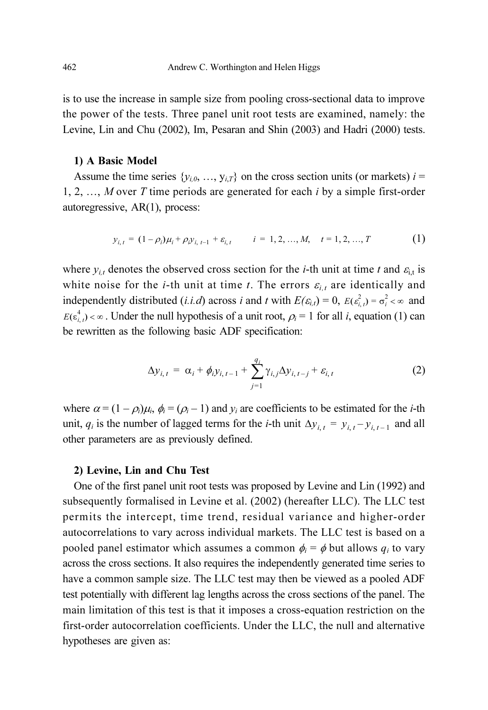is to use the increase in sample size from pooling cross-sectional data to improve the power of the tests. Three panel unit root tests are examined, namely: the Levine, Lin and Chu (2002), Im, Pesaran and Shin (2003) and Hadri (2000) tests.

### 1) A Basic Model

Assume the time series  $\{y_{i,0}, ..., y_{i,T}\}\$  on the cross section units (or markets)  $i =$ 1, 2, ..., M over T time periods are generated for each  $i$  by a simple first-order autoregressive, AR(1), process:

$$
y_{i,t} = (1 - \rho_i)\mu_i + \rho_i y_{i, t-1} + \varepsilon_{i, t} \qquad i = 1, 2, ..., M, \quad t = 1, 2, ..., T
$$
 (1)

where  $y_{i,t}$  denotes the observed cross section for the *i*-th unit at time t and  $\varepsilon_{i,t}$  is white noise for the *i*-th unit at time *t*. The errors  $\varepsilon_{i,t}$  are identically and independently distributed (*i.i.d*) across *i* and *t* with  $E(\epsilon_{i,t}) = 0$ ,  $E(\epsilon_{i,t}^2) = \sigma_i^2 < \infty$  and  $E(\epsilon_{i,j}^4) < \infty$ . Under the null hypothesis of a unit root,  $\rho_i = 1$  for all *i*, equation (1) can be rewritten as the following basic ADF specification:

$$
\Delta y_{i,t} = \alpha_i + \phi_i y_{i,t-1} + \sum_{j=1}^{q_i} \gamma_{i,j} \Delta y_{i,t-j} + \varepsilon_{i,t}
$$
 (2)

where  $\alpha = (1 - \rho_i)\mu_i$ ,  $\phi_i = (\rho_i - 1)$  and  $y_i$  are coefficients to be estimated for the *i*-th unit,  $q_i$  is the number of lagged terms for the *i*-th unit  $\Delta y_{i,t} = y_{i,t} - y_{i,t-1}$  and all other parameters are as previously defined.

### 2) Levine, Lin and Chu Test

One of the first panel unit root tests was proposed by Levine and Lin (1992) and subsequently formalised in Levine et al. (2002) (hereafter LLC). The LLC test permits the intercept, time trend, residual variance and higher-order autocorrelations to vary across individual markets. The LLC test is based on a pooled panel estimator which assumes a common  $\phi_i = \phi$  but allows  $q_i$  to vary across the cross sections. It also requires the independently generated time series to have a common sample size. The LLC test may then be viewed as a pooled ADF test potentially with different lag lengths across the cross sections of the panel. The main limitation of this test is that it imposes a cross-equation restriction on the first-order autocorrelation coefficients. Under the LLC, the null and alternative hypotheses are given as: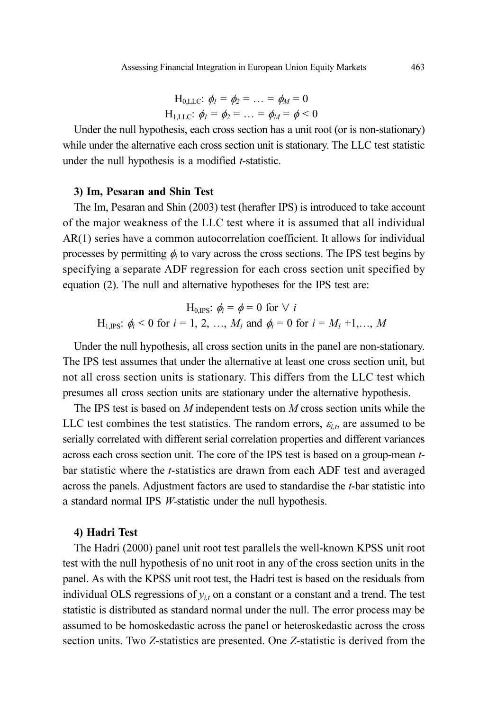$$
H_{0,LLC}
$$
:  $\phi_1 = \phi_2 = ... = \phi_M = 0$   
\n $H_{1,LLC}$ :  $\phi_1 = \phi_2 = ... = \phi_M = \phi < 0$ 

Under the null hypothesis, each cross section has a unit root (or is non-stationary) while under the alternative each cross section unit is stationary. The LLC test statistic under the null hypothesis is a modified *t*-statistic.

### 3) Im, Pesaran and Shin Test

The Im, Pesaran and Shin (2003) test (herafter IPS) is introduced to take account of the major weakness of the LLC test where it is assumed that all individual AR(1) series have a common autocorrelation coefficient. It allows for individual processes by permitting  $\phi_i$  to vary across the cross sections. The IPS test begins by specifying a separate ADF regression for each cross section unit specified by equation (2). The null and alternative hypotheses for the IPS test are:

$$
H_{0,\text{IPS}}
$$
:  $\phi_i = \phi = 0$  for  $\forall i$   
H<sub>1,\text{IPS}</sub>:  $\phi_i < 0$  for  $i = 1, 2, ..., M_1$  and  $\phi_i = 0$  for  $i = M_1 + 1, ..., M$ 

Under the null hypothesis, all cross section units in the panel are non-stationary. The IPS test assumes that under the alternative at least one cross section unit, but not all cross section units is stationary. This differs from the LLC test which presumes all cross section units are stationary under the alternative hypothesis.

The IPS test is based on M independent tests on M cross section units while the LLC test combines the test statistics. The random errors,  $\varepsilon_{i,t}$ , are assumed to be serially correlated with different serial correlation properties and different variances across each cross section unit. The core of the IPS test is based on a group-mean tbar statistic where the t-statistics are drawn from each ADF test and averaged across the panels. Adjustment factors are used to standardise the t-bar statistic into a standard normal IPS W-statistic under the null hypothesis.

#### 4) Hadri Test

The Hadri (2000) panel unit root test parallels the well-known KPSS unit root test with the null hypothesis of no unit root in any of the cross section units in the panel. As with the KPSS unit root test, the Hadri test is based on the residuals from individual OLS regressions of  $y_{it}$  on a constant or a constant and a trend. The test statistic is distributed as standard normal under the null. The error process may be assumed to be homoskedastic across the panel or heteroskedastic across the cross section units. Two Z-statistics are presented. One Z-statistic is derived from the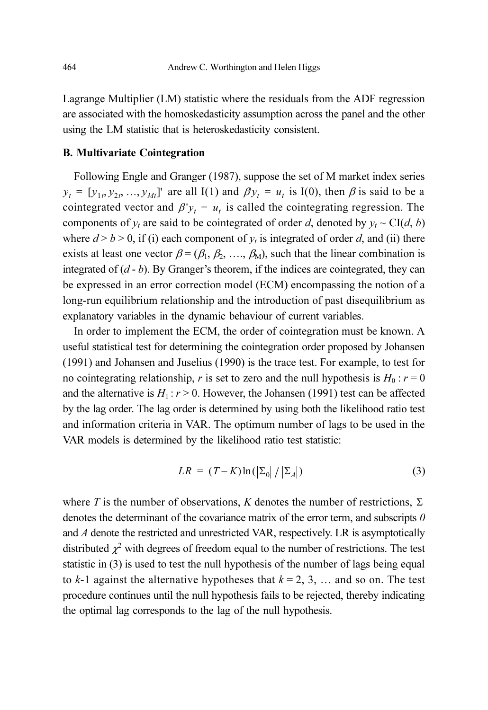Lagrange Multiplier (LM) statistic where the residuals from the ADF regression are associated with the homoskedasticity assumption across the panel and the other using the LM statistic that is heteroskedasticity consistent.

### B. Multivariate Cointegration

Following Engle and Granger (1987), suppose the set of M market index series  $y_t = [y_{1t}, y_{2t}, ..., y_{Mt}]$  are all I(1) and  $\beta y_t = u_t$  is I(0), then  $\beta$  is said to be a cointegrated vector and  $\beta y_t = u_t$  is called the cointegrating regression. The components of  $y_t$  are said to be cointegrated of order d, denoted by  $y_t \sim \text{CI}(d, b)$ where  $d > b > 0$ , if (i) each component of  $y_t$  is integrated of order d, and (ii) there exists at least one vector  $\beta = (\beta_1, \beta_2, ..., \beta_M)$ , such that the linear combination is integrated of  $(d - b)$ . By Granger's theorem, if the indices are cointegrated, they can be expressed in an error correction model (ECM) encompassing the notion of a long-run equilibrium relationship and the introduction of past disequilibrium as explanatory variables in the dynamic behaviour of current variables.

In order to implement the ECM, the order of cointegration must be known. A useful statistical test for determining the cointegration order proposed by Johansen (1991) and Johansen and Juselius (1990) is the trace test. For example, to test for no cointegrating relationship, r is set to zero and the null hypothesis is  $H_0$  :  $r = 0$ and the alternative is  $H_1$ :  $r > 0$ . However, the Johansen (1991) test can be affected by the lag order. The lag order is determined by using both the likelihood ratio test and information criteria in VAR. The optimum number of lags to be used in the VAR models is determined by the likelihood ratio test statistic:

$$
LR = (T - K) \ln(|\Sigma_0| / |\Sigma_A|)
$$
 (3)

where T is the number of observations, K denotes the number of restrictions,  $\Sigma$ denotes the determinant of the covariance matrix of the error term, and subscripts  $0$ and A denote the restricted and unrestricted VAR, respectively. LR is asymptotically distributed  $\chi^2$  with degrees of freedom equal to the number of restrictions. The test statistic in (3) is used to test the null hypothesis of the number of lags being equal to  $k-1$  against the alternative hypotheses that  $k = 2, 3, \ldots$  and so on. The test procedure continues until the null hypothesis fails to be rejected, thereby indicating the optimal lag corresponds to the lag of the null hypothesis.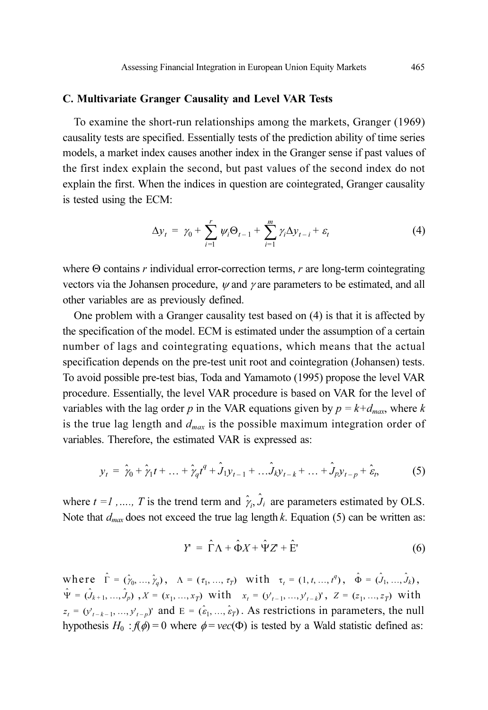### C. Multivariate Granger Causality and Level VAR Tests

To examine the short-run relationships among the markets, Granger (1969) causality tests are specified. Essentially tests of the prediction ability of time series models, a market index causes another index in the Granger sense if past values of the first index explain the second, but past values of the second index do not explain the first. When the indices in question are cointegrated, Granger causality is tested using the ECM:

$$
\Delta y_t = \gamma_0 + \sum_{i=1}^r \psi_i \Theta_{t-1} + \sum_{i=1}^m \gamma_i \Delta y_{t-i} + \varepsilon_t \tag{4}
$$

where  $\Theta$  contains r individual error-correction terms, r are long-term cointegrating vectors via the Johansen procedure,  $\psi$  and  $\gamma$  are parameters to be estimated, and all other variables are as previously defined.

One problem with a Granger causality test based on (4) is that it is affected by the specification of the model. ECM is estimated under the assumption of a certain number of lags and cointegrating equations, which means that the actual specification depends on the pre-test unit root and cointegration (Johansen) tests. To avoid possible pre-test bias, Toda and Yamamoto (1995) propose the level VAR procedure. Essentially, the level VAR procedure is based on VAR for the level of variables with the lag order p in the VAR equations given by  $p = k + d_{max}$ , where k is the true lag length and  $d_{max}$  is the possible maximum integration order of variables. Therefore, the estimated VAR is expressed as:

$$
y_t = \hat{\gamma}_0 + \hat{\gamma}_1 t + \dots + \hat{\gamma}_q t^q + \hat{J}_{1} y_{t-1} + \dots \hat{J}_k y_{t-k} + \dots + \hat{J}_p y_{t-p} + \hat{\varepsilon}_t, \tag{5}
$$

where  $t = 1, ..., T$  is the trend term and  $\hat{\gamma}_i$ ,  $\hat{J}_i$  are parameters estimated by OLS. Note that  $d_{max}$  does not exceed the true lag length k. Equation (5) can be written as:

$$
Y = \hat{\Gamma}\Lambda + \hat{\Phi}X + \hat{\Psi}Z + \hat{E}
$$
 (6)

where  $\hat{\Gamma} = (\hat{\gamma}_0, ..., \hat{\gamma}_q)$ ,  $\Lambda = (\tau_1, ..., \tau_T)$  with  $\tau_t = (1, t, ..., t^q)$ ,  $\hat{\Phi} = (\hat{J}_1, ..., \hat{J}_k)$ ,  $\hat{\Psi} = (\hat{J}_{k+1}, ..., \hat{J}_p)$ ,  $X = (x_1, ..., x_T)$  with  $x_t = (y'_{t-1}, ..., y'_{t-k})'$ ,  $Z = (z_1, ..., z_T)$  with  $z_t = (y'_{t-k-1}, ..., y'_{t-p})'$  and  $E = (\hat{\epsilon}_1, ..., \hat{\epsilon}_T)$ . As restrictions in parameters, the null hypothesis  $H_0$ :  $f(\phi) = 0$  where  $\phi = vec(\Phi)$  is tested by a Wald statistic defined as: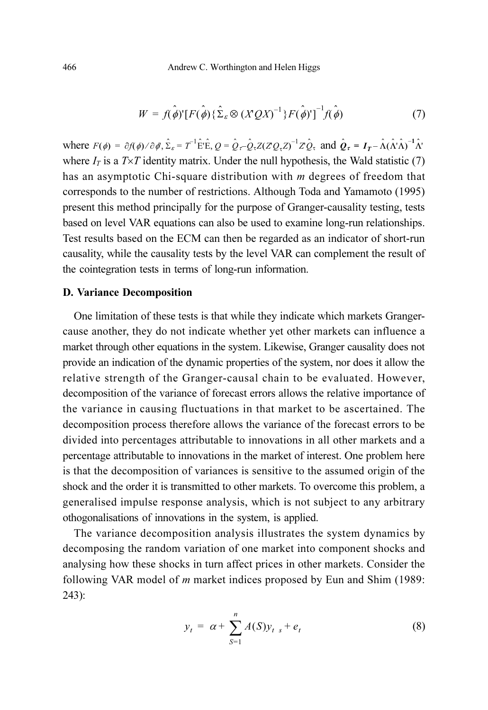$$
W = f(\hat{\phi})^{\prime} [F(\hat{\phi}) \{\hat{\Sigma}_{\varepsilon} \otimes (XQX)^{-1}\} F(\hat{\phi})^{\prime}]^{-1} f(\hat{\phi}) \tag{7}
$$

where  $F(\phi) = \partial f(\phi) / \partial \phi$ ,  $\hat{\Sigma}_{\varepsilon} = T^{-1} \hat{E}^{\dagger} \hat{E}$ ,  $Q = \hat{Q}_{\tau} - \hat{Q}_{\tau} Z (Z Q_{\tau} Z)^{-1} Z \hat{Q}_{\tau}$  and  $\hat{Q}_{\tau} = I_T - \hat{\Lambda} (\hat{\Lambda}^{\dagger} \hat{\Lambda})^{-1} \hat{\Lambda}^{\dagger}$ where  $I_T$  is a  $T \times T$  identity matrix. Under the null hypothesis, the Wald statistic (7) has an asymptotic Chi-square distribution with m degrees of freedom that corresponds to the number of restrictions. Although Toda and Yamamoto (1995) present this method principally for the purpose of Granger-causality testing, tests based on level VAR equations can also be used to examine long-run relationships. Test results based on the ECM can then be regarded as an indicator of short-run causality, while the causality tests by the level VAR can complement the result of the cointegration tests in terms of long-run information.

#### D. Variance Decomposition

One limitation of these tests is that while they indicate which markets Grangercause another, they do not indicate whether yet other markets can influence a market through other equations in the system. Likewise, Granger causality does not provide an indication of the dynamic properties of the system, nor does it allow the relative strength of the Granger-causal chain to be evaluated. However, decomposition of the variance of forecast errors allows the relative importance of the variance in causing fluctuations in that market to be ascertained. The decomposition process therefore allows the variance of the forecast errors to be divided into percentages attributable to innovations in all other markets and a percentage attributable to innovations in the market of interest. One problem here is that the decomposition of variances is sensitive to the assumed origin of the shock and the order it is transmitted to other markets. To overcome this problem, a generalised impulse response analysis, which is not subject to any arbitrary othogonalisations of innovations in the system, is applied.

The variance decomposition analysis illustrates the system dynamics by decomposing the random variation of one market into component shocks and analysing how these shocks in turn affect prices in other markets. Consider the following VAR model of m market indices proposed by Eun and Shim (1989: 243):

$$
y_t = \alpha + \sum_{S=1}^n A(S) y_{t} + e_t
$$
 (8)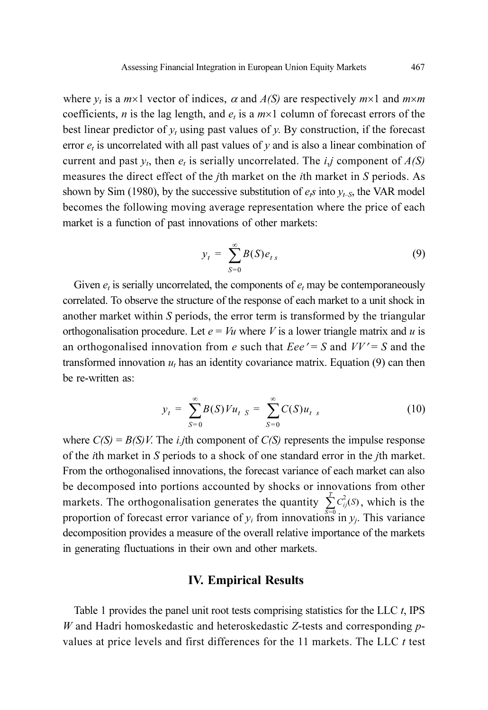where  $y_t$  is a  $m \times 1$  vector of indices,  $\alpha$  and  $A(S)$  are respectively  $m \times 1$  and  $m \times m$ coefficients, *n* is the lag length, and  $e_t$  is a  $m \times 1$  column of forecast errors of the best linear predictor of  $y_t$  using past values of y. By construction, if the forecast error  $e_t$  is uncorrelated with all past values of y and is also a linear combination of current and past  $y_t$ , then  $e_t$  is serially uncorrelated. The *i,j* component of  $A(S)$ measures the direct effect of the jth market on the ith market in S periods. As shown by Sim (1980), by the successive substitution of  $e_i$  into  $y_{t-S}$ , the VAR model becomes the following moving average representation where the price of each market is a function of past innovations of other markets:

$$
y_t = \sum_{S=0}^{\infty} B(S)e_{ts} \tag{9}
$$

Given  $e_t$  is serially uncorrelated, the components of  $e_t$  may be contemporaneously correlated. To observe the structure of the response of each market to a unit shock in another market within S periods, the error term is transformed by the triangular orthogonalisation procedure. Let  $e = Vu$  where V is a lower triangle matrix and u is an orthogonalised innovation from e such that  $Eee' = S$  and  $VV' = S$  and the transformed innovation  $u_t$  has an identity covariance matrix. Equation (9) can then be re-written as:

$$
y_t = \sum_{S=0}^{\infty} B(S) V u_t \, S = \sum_{S=0}^{\infty} C(S) u_t \, s \tag{10}
$$

where  $C(S) = B(S)V$ . The *i.j*th component of  $C(S)$  represents the impulse response of the ith market in S periods to a shock of one standard error in the jth market. From the orthogonalised innovations, the forecast variance of each market can also be decomposed into portions accounted by shocks or innovations from other markets. The orthogonalisation generates the quantity  $\sum_{i}^{T} C_{ij}^{2}(S)$ , which is the proportion of forecast error variance of  $y_i$  from innovations in  $y_j$ . This variance decomposition provides a measure of the overall relative importance of the markets in generating fluctuations in their own and other markets.

### IV. Empirical Results

Table 1 provides the panel unit root tests comprising statistics for the LLC  $t$ , IPS W and Hadri homoskedastic and heteroskedastic Z-tests and corresponding  $p$ values at price levels and first differences for the  $11$  markets. The LLC  $t$  test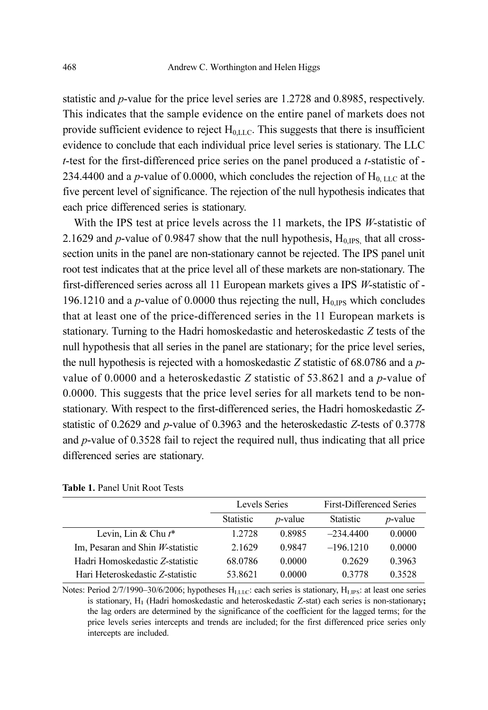statistic and p-value for the price level series are 1.2728 and 0.8985, respectively. This indicates that the sample evidence on the entire panel of markets does not provide sufficient evidence to reject  $H_{0,LLC}$ . This suggests that there is insufficient evidence to conclude that each individual price level series is stationary. The LLC t-test for the first-differenced price series on the panel produced a t-statistic of - 234.4400 and a p-value of 0.0000, which concludes the rejection of  $H<sub>0, LLC</sub>$  at the five percent level of significance. The rejection of the null hypothesis indicates that each price differenced series is stationary.

With the IPS test at price levels across the 11 markets, the IPS *W*-statistic of 2.1629 and p-value of 0.9847 show that the null hypothesis,  $H_{0,IPS}$  that all crosssection units in the panel are non-stationary cannot be rejected. The IPS panel unit root test indicates that at the price level all of these markets are non-stationary. The first-differenced series across all 11 European markets gives a IPS W-statistic of - 196.1210 and a  $p$ -value of 0.0000 thus rejecting the null,  $H<sub>0,IPS</sub>$  which concludes that at least one of the price-differenced series in the 11 European markets is stationary. Turning to the Hadri homoskedastic and heteroskedastic Z tests of the null hypothesis that all series in the panel are stationary; for the price level series, the null hypothesis is rejected with a homoskedastic  $Z$  statistic of 68.0786 and a  $p$ value of 0.0000 and a heteroskedastic Z statistic of 53.8621 and a  $p$ -value of 0.0000. This suggests that the price level series for all markets tend to be nonstationary. With respect to the first-differenced series, the Hadri homoskedastic Zstatistic of 0.2629 and p-value of 0.3963 and the heteroskedastic Z-tests of 0.3778 and p-value of 0.3528 fail to reject the required null, thus indicating that all price differenced series are stationary.

|                                     | Levels Series    |            | <b>First-Differenced Series</b> |                 |
|-------------------------------------|------------------|------------|---------------------------------|-----------------|
|                                     | <b>Statistic</b> | $p$ -value | <b>Statistic</b>                | <i>p</i> -value |
| Levin, Lin & Chu $t^*$              | 1.2728           | 0.8985     | $-234.4400$                     | 0.0000          |
| Im, Pesaran and Shin $W$ -statistic | 2.1629           | 0.9847     | $-196.1210$                     | 0.0000          |
| Hadri Homoskedastic Z-statistic     | 68.0786          | 0.0000     | 0.2629                          | 0.3963          |
| Hari Heteroskedastic Z-statistic    | 53.8621          | 0.0000     | 0.3778                          | 0.3528          |

Table 1. Panel Unit Root Tests

Notes: Period 2/7/1990–30/6/2006; hypotheses H<sub>1,LLC</sub>: each series is stationary, H<sub>1,IPS</sub>: at least one series is stationary, H<sub>1</sub> (Hadri homoskedastic and heteroskedastic Z-stat) each series is non-stationary; the lag orders are determined by the significance of the coefficient for the lagged terms; for the price levels series intercepts and trends are included; for the first differenced price series only intercepts are included.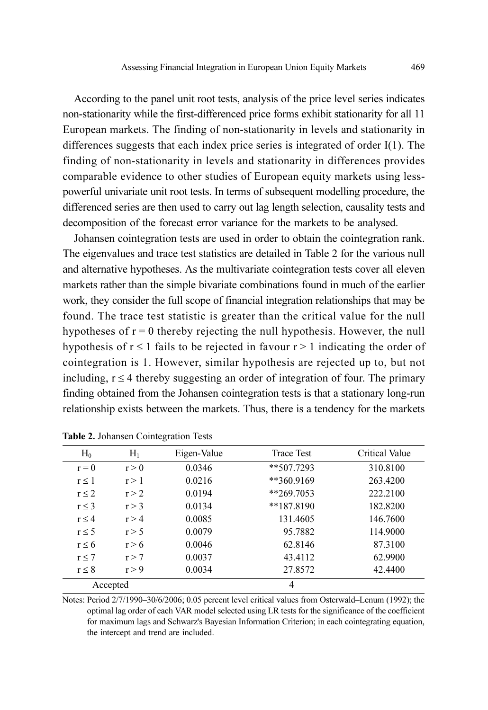According to the panel unit root tests, analysis of the price level series indicates non-stationarity while the first-differenced price forms exhibit stationarity for all 11 European markets. The finding of non-stationarity in levels and stationarity in differences suggests that each index price series is integrated of order I(1). The finding of non-stationarity in levels and stationarity in differences provides comparable evidence to other studies of European equity markets using lesspowerful univariate unit root tests. In terms of subsequent modelling procedure, the differenced series are then used to carry out lag length selection, causality tests and decomposition of the forecast error variance for the markets to be analysed.

Johansen cointegration tests are used in order to obtain the cointegration rank. The eigenvalues and trace test statistics are detailed in Table 2 for the various null and alternative hypotheses. As the multivariate cointegration tests cover all eleven markets rather than the simple bivariate combinations found in much of the earlier work, they consider the full scope of financial integration relationships that may be found. The trace test statistic is greater than the critical value for the null hypotheses of  $r = 0$  thereby rejecting the null hypothesis. However, the null hypothesis of  $r \le 1$  fails to be rejected in favour  $r > 1$  indicating the order of cointegration is 1. However, similar hypothesis are rejected up to, but not including,  $r \leq 4$  thereby suggesting an order of integration of four. The primary finding obtained from the Johansen cointegration tests is that a stationary long-run relationship exists between the markets. Thus, there is a tendency for the markets

| $H_0$      | $H_1$    | Eigen-Value | <b>Trace Test</b> | Critical Value |
|------------|----------|-------------|-------------------|----------------|
| $r = 0$    | r > 0    | 0.0346      | $**507.7293$      | 310.8100       |
| r < 1      | r > 1    | 0.0216      | **360.9169        | 263.4200       |
| $r \leq 2$ | r > 2    | 0.0194      | $*269.7053$       | 222.2100       |
| $r \leq 3$ | r > 3    | 0.0134      | **187.8190        | 182.8200       |
| $r \leq 4$ | r > 4    | 0.0085      | 131.4605          | 146.7600       |
| $r \leq 5$ | r > 5    | 0.0079      | 95.7882           | 114.9000       |
| $r \leq 6$ | r > 6    | 0.0046      | 62.8146           | 87.3100        |
| $r \leq 7$ | r > 7    | 0.0037      | 43.4112           | 62.9900        |
| $r \leq 8$ | r > 9    | 0.0034      | 27.8572           | 42.4400        |
|            | Accepted |             | 4                 |                |

| Table 2. Johansen Cointegration Tests |  |  |  |  |
|---------------------------------------|--|--|--|--|
|---------------------------------------|--|--|--|--|

Notes: Period 2/7/1990–30/6/2006; 0.05 percent level critical values from Osterwald–Lenum (1992); the optimal lag order of each VAR model selected using LR tests for the significance of the coefficient for maximum lags and Schwarz's Bayesian Information Criterion; in each cointegrating equation, the intercept and trend are included.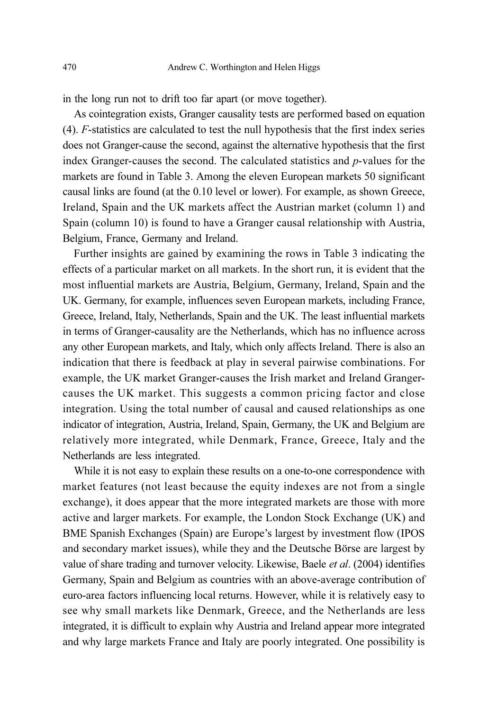in the long run not to drift too far apart (or move together).

As cointegration exists, Granger causality tests are performed based on equation (4). F-statistics are calculated to test the null hypothesis that the first index series does not Granger-cause the second, against the alternative hypothesis that the first index Granger-causes the second. The calculated statistics and p-values for the markets are found in Table 3. Among the eleven European markets 50 significant causal links are found (at the 0.10 level or lower). For example, as shown Greece, Ireland, Spain and the UK markets affect the Austrian market (column 1) and Spain (column 10) is found to have a Granger causal relationship with Austria, Belgium, France, Germany and Ireland.

Further insights are gained by examining the rows in Table 3 indicating the effects of a particular market on all markets. In the short run, it is evident that the most influential markets are Austria, Belgium, Germany, Ireland, Spain and the UK. Germany, for example, influences seven European markets, including France, Greece, Ireland, Italy, Netherlands, Spain and the UK. The least influential markets in terms of Granger-causality are the Netherlands, which has no influence across any other European markets, and Italy, which only affects Ireland. There is also an indication that there is feedback at play in several pairwise combinations. For example, the UK market Granger-causes the Irish market and Ireland Grangercauses the UK market. This suggests a common pricing factor and close integration. Using the total number of causal and caused relationships as one indicator of integration, Austria, Ireland, Spain, Germany, the UK and Belgium are relatively more integrated, while Denmark, France, Greece, Italy and the Netherlands are less integrated.

While it is not easy to explain these results on a one-to-one correspondence with market features (not least because the equity indexes are not from a single exchange), it does appear that the more integrated markets are those with more active and larger markets. For example, the London Stock Exchange (UK) and BME Spanish Exchanges (Spain) are Europe's largest by investment flow (IPOS and secondary market issues), while they and the Deutsche Börse are largest by value of share trading and turnover velocity. Likewise, Baele et al. (2004) identifies Germany, Spain and Belgium as countries with an above-average contribution of euro-area factors influencing local returns. However, while it is relatively easy to see why small markets like Denmark, Greece, and the Netherlands are less integrated, it is difficult to explain why Austria and Ireland appear more integrated and why large markets France and Italy are poorly integrated. One possibility is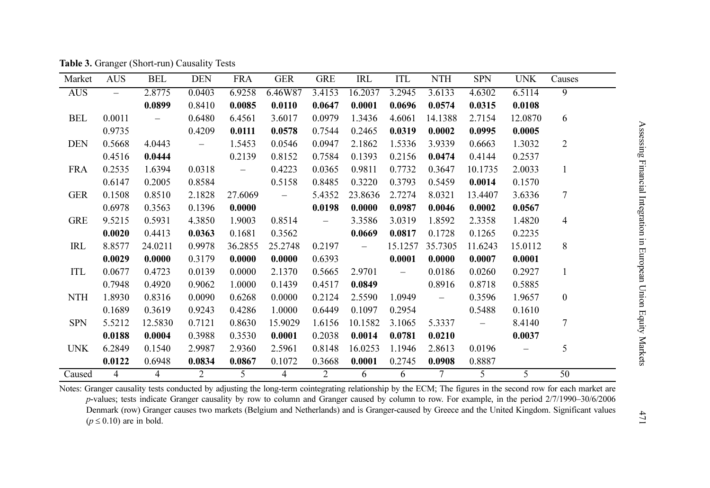| Market     | <b>AUS</b>     | <b>BEL</b>     | <b>DEN</b> | <b>FRA</b>               | <b>GER</b>                                                  | <b>GRE</b> | IRL      | ITL            | NTH        | <b>SPN</b>     | <b>UNK</b> | Causes         |
|------------|----------------|----------------|------------|--------------------------|-------------------------------------------------------------|------------|----------|----------------|------------|----------------|------------|----------------|
| <b>AUS</b> | $\equiv$       | 2.8775         | 0.0403     | 6.9258                   | 6.46W87                                                     | 3.4153     | 16.2037  | 3.2945         | 3.6133     | 4.6302         | 6.5114     | 9              |
|            |                | 0.0899         | 0.8410     | 0.0085                   | 0.0110                                                      | 0.0647     | 0.0001   | 0.0696         | 0.0574     | 0.0315         | 0.0108     |                |
| BEL        | 0.0011         | $\sim$         | 0.6480     | 6.4561                   | 3.6017                                                      | 0.0979     | 1.3436   | 4.6061         | 14.1388    | 2.7154         | 12.0870    | 6              |
|            | 0.9735         |                | 0.4209     | 0.0111                   | 0.0578                                                      | 0.7544     | 0.2465   | 0.0319         | 0.0002     | 0.0995         | 0.0005     |                |
| <b>DEN</b> | 0.5668         | 4.0443         | $\equiv$   | 1.5453                   | 0.0546                                                      | 0.0947     | 2.1862   | 1.5336         | 3.9339     | 0.6663         | 1.3032     | $\overline{2}$ |
|            | 0.4516         | 0.0444         |            | 0.2139                   | 0.8152                                                      | 0.7584     | 0.1393   | 0.2156         | 0.0474     | 0.4144         | 0.2537     |                |
| <b>FRA</b> | 0.2535         | 1.6394         | 0.0318     | $\overline{\phantom{m}}$ | 0.4223                                                      | 0.0365     | 0.9811   | 0.7732         | 0.3647     | 10.1735        | 2.0033     | $\mathbf{1}$   |
|            | 0.6147         | 0.2005         | 0.8584     |                          | 0.5158                                                      | 0.8485     | 0.3220   | 0.3793         | 0.5459     | 0.0014         | 0.1570     |                |
| <b>GER</b> | 0.1508         | 0.8510         | 2.1828     | 27.6069                  | $\mathcal{L}^{\mathcal{L}}$ and $\mathcal{L}^{\mathcal{L}}$ | 5.4352     | 23.8636  | 2.7274         | 8.0321     | 13.4407        | 3.6336     | 7              |
|            | 0.6978         | 0.3563         | 0.1396     | 0.0000                   |                                                             | 0.0198     | 0.0000   | 0.0987         | 0.0046     | 0.0002         | 0.0567     |                |
| <b>GRE</b> | 9.5215         | 0.5931         | 4.3850     | 1.9003                   | 0.8514                                                      | $\equiv$   | 3.3586   | 3.0319         | 1.8592     | 2.3358         | 1.4820     | 4              |
|            | 0.0020         | 0.4413         | 0.0363     | 0.1681                   | 0.3562                                                      |            | 0.0669   | 0.0817         | 0.1728     | 0.1265         | 0.2235     |                |
| IRL        | 8.8577         | 24.0211        | 0.9978     | 36.2855                  | 25.2748                                                     | 0.2197     | $\equiv$ | 15.1257        | 35.7305    | 11.6243        | 15.0112    | 8              |
|            | 0.0029         | 0.0000         | 0.3179     | 0.0000                   | 0.0000                                                      | 0.6393     |          | 0.0001         | 0.0000     | 0.0007         | 0.0001     |                |
| ITL        | 0.0677         | 0.4723         | 0.0139     | 0.0000                   | 2.1370                                                      | 0.5665     | 2.9701   | $\sim$ $ \sim$ | 0.0186     | 0.0260         | 0.2927     | $\mathbf{1}$   |
|            | 0.7948         | 0.4920         | 0.9062     | 1.0000                   | 0.1439                                                      | 0.4517     | 0.0849   |                | 0.8916     | 0.8718         | 0.5885     |                |
| <b>NTH</b> | 1.8930         | 0.8316         | 0.0090     | 0.6268                   | 0.0000                                                      | 0.2124     | 2.5590   | 1.0949         | $\sim$ $-$ | 0.3596         | 1.9657     | $\bf{0}$       |
|            | 0.1689         | 0.3619         | 0.9243     | 0.4286                   | 1.0000                                                      | 0.6449     | 0.1097   | 0.2954         |            | 0.5488         | 0.1610     |                |
| <b>SPN</b> | 5.5212         | 12.5830        | 0.7121     | 0.8630                   | 15.9029                                                     | 1.6156     | 10.1582  | 3.1065         | 5.3337     | $\sim$ $ \sim$ | 8.4140     | 7              |
|            | 0.0188         | 0.0004         | 0.3988     | 0.3530                   | 0.0001                                                      | 0.2038     | 0.0014   | 0.0781         | 0.0210     |                | 0.0037     |                |
| <b>UNK</b> | 6.2849         | 0.1540         | 2.9987     | 2.9360                   | 2.5961                                                      | 0.8148     | 16.0253  | 1.1946         | 2.8613     | 0.0196         |            | 5              |
|            | 0.0122         | 0.6948         | 0.0834     | 0.0867                   | 0.1072                                                      | 0.3668     | 0.0001   | 0.2745         | 0.0908     | 0.8887         |            |                |
| Caused     | $\overline{4}$ | $\overline{4}$ | 2          | $\overline{5}$           | $\overline{4}$                                              | 2          | 6        | 6              | $\tau$     | $\overline{5}$ | 5          | 50             |

Table 3. Granger (Short-run) Causality Tests

Notes: Granger causality tests conducted by adjusting the long-term cointegrating relationship by the ECM; The figures in the second row for each market are p-values; tests indicate Granger causality by row to column and Granger caused by column to row. For example, in the period 2/7/1990–30/6/2006 Denmark (row) Granger causes two markets (Belgium and Netherlands) and is Granger-caused by Greece and the United Kingdom. Significant values  $(p \le 0.10)$  are in bold.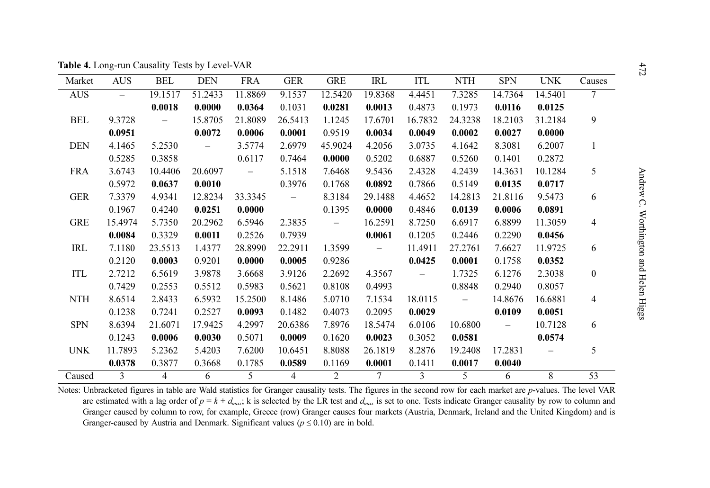|            |            | <b>Table 4.</b> Long-run Causality Tests by Level-VAR |                   |                          |                          |                   |                |                          |            |            |            |                  |
|------------|------------|-------------------------------------------------------|-------------------|--------------------------|--------------------------|-------------------|----------------|--------------------------|------------|------------|------------|------------------|
| Market     | <b>AUS</b> | <b>BEL</b>                                            | <b>DEN</b>        | <b>FRA</b>               | <b>GER</b>               | <b>GRE</b>        | IRL            | ITL                      | <b>NTH</b> | <b>SPN</b> | <b>UNK</b> | Causes           |
| <b>AUS</b> | $=$        | 19.1517                                               | 51.2433           | 11.8869                  | 9.1537                   | 12.5420           | 19.8368        | 4.4451                   | 7.3285     | 14.7364    | 14.5401    | $\overline{7}$   |
|            |            | 0.0018                                                | 0.0000            | 0.0364                   | 0.1031                   | 0.0281            | 0.0013         | 0.4873                   | 0.1973     | 0.0116     | 0.0125     |                  |
| <b>BEL</b> | 9.3728     | $\overline{\phantom{0}}$                              | 15.8705           | 21.8089                  | 26.5413                  | 1.1245            | 17.6701        | 16.7832                  | 24.3238    | 18.2103    | 31.2184    | 9                |
|            | 0.0951     |                                                       | 0.0072            | 0.0006                   | 0.0001                   | 0.9519            | 0.0034         | 0.0049                   | 0.0002     | 0.0027     | 0.0000     |                  |
| <b>DEN</b> | 4.1465     | 5.2530                                                | $\qquad \qquad -$ | 3.5774                   | 2.6979                   | 45.9024           | 4.2056         | 3.0735                   | 4.1642     | 8.3081     | 6.2007     | 1                |
|            | 0.5285     | 0.3858                                                |                   | 0.6117                   | 0.7464                   | 0.0000            | 0.5202         | 0.6887                   | 0.5260     | 0.1401     | 0.2872     |                  |
| <b>FRA</b> | 3.6743     | 10.4406                                               | 20.6097           | $\overline{\phantom{m}}$ | 5.1518                   | 7.6468            | 9.5436         | 2.4328                   | 4.2439     | 14.3631    | 10.1284    | 5                |
|            | 0.5972     | 0.0637                                                | 0.0010            |                          | 0.3976                   | 0.1768            | 0.0892         | 0.7866                   | 0.5149     | 0.0135     | 0.0717     |                  |
| <b>GER</b> | 7.3379     | 4.9341                                                | 12.8234           | 33.3345                  | $\overline{\phantom{m}}$ | 8.3184            | 29.1488        | 4.4652                   | 14.2813    | 21.8116    | 9.5473     | 6                |
|            | 0.1967     | 0.4240                                                | 0.0251            | 0.0000                   |                          | 0.1395            | 0.0000         | 0.4846                   | 0.0139     | 0.0006     | 0.0891     |                  |
| <b>GRE</b> | 15.4974    | 5.7350                                                | 20.2962           | 6.5946                   | 2.3835                   | $\qquad \qquad -$ | 16.2591        | 8.7250                   | 6.6917     | 6.8899     | 11.3059    | 4                |
|            | 0.0084     | 0.3329                                                | 0.0011            | 0.2526                   | 0.7939                   |                   | 0.0061         | 0.1205                   | 0.2446     | 0.2290     | 0.0456     |                  |
| IRL        | 7.1180     | 23.5513                                               | 1.4377            | 28.8990                  | 22.2911                  | 1.3599            |                | 11.4911                  | 27.2761    | 7.6627     | 11.9725    | 6                |
|            | 0.2120     | 0.0003                                                | 0.9201            | 0.0000                   | 0.0005                   | 0.9286            |                | 0.0425                   | 0.0001     | 0.1758     | 0.0352     |                  |
| ITL        | 2.7212     | 6.5619                                                | 3.9878            | 3.6668                   | 3.9126                   | 2.2692            | 4.3567         | $\overline{\phantom{m}}$ | 1.7325     | 6.1276     | 2.3038     | $\boldsymbol{0}$ |
|            | 0.7429     | 0.2553                                                | 0.5512            | 0.5983                   | 0.5621                   | 0.8108            | 0.4993         |                          | 0.8848     | 0.2940     | 0.8057     |                  |
| <b>NTH</b> | 8.6514     | 2.8433                                                | 6.5932            | 15.2500                  | 8.1486                   | 5.0710            | 7.1534         | 18.0115                  |            | 14.8676    | 16.6881    | 4                |
|            | 0.1238     | 0.7241                                                | 0.2527            | 0.0093                   | 0.1482                   | 0.4073            | 0.2095         | 0.0029                   |            | 0.0109     | 0.0051     |                  |
| <b>SPN</b> | 8.6394     | 21.6071                                               | 17.9425           | 4.2997                   | 20.6386                  | 7.8976            | 18.5474        | 6.0106                   | 10.6800    | $\equiv$   | 10.7128    | 6                |
|            | 0.1243     | 0.0006                                                | 0.0030            | 0.5071                   | 0.0009                   | 0.1620            | 0.0023         | 0.3052                   | 0.0581     |            | 0.0574     |                  |
| <b>UNK</b> | 11.7893    | 5.2362                                                | 5.4203            | 7.6200                   | 10.6451                  | 8.8088            | 26.1819        | 8.2876                   | 19.2408    | 17.2831    |            | 5                |
|            | 0.0378     | 0.3877                                                | 0.3668            | 0.1785                   | 0.0589                   | 0.1169            | 0.0001         | 0.1411                   | 0.0017     | 0.0040     |            |                  |
| Caused     | 3          | $\overline{4}$                                        | 6                 | 5                        | 4                        | 2                 | $\overline{7}$ | 3                        | 5          | 6          | 8          | 53               |

Notes: Unbracketed figures in table are Wald statistics for Granger causality tests. The figures in the second row for each market are p-values. The level VAR are estimated with a lag order of  $p = k + d_{max}$ ; k is selected by the LR test and  $d_{max}$  is set to one. Tests indicate Granger causality by row to column and Granger caused by column to row, for example, Greece (row) Granger causes four markets (Austria, Denmark, Ireland and the United Kingdom) and is Granger-caused by Austria and Denmark. Significant values ( $p \le 0.10$ ) are in bold.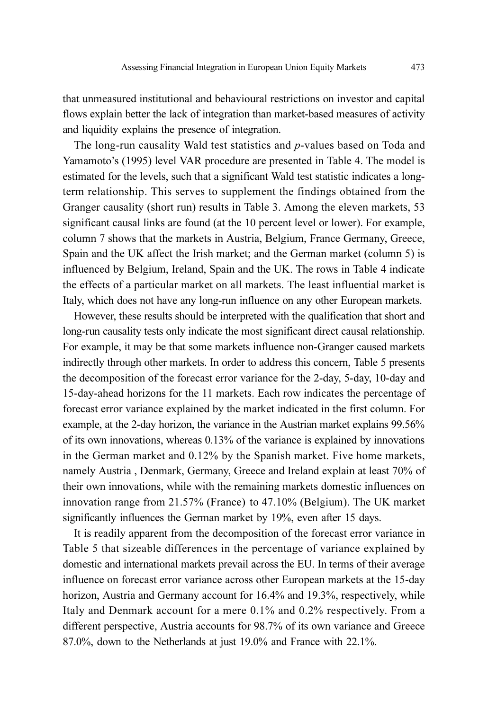that unmeasured institutional and behavioural restrictions on investor and capital flows explain better the lack of integration than market-based measures of activity and liquidity explains the presence of integration.

The long-run causality Wald test statistics and *p*-values based on Toda and Yamamoto's (1995) level VAR procedure are presented in Table 4. The model is estimated for the levels, such that a significant Wald test statistic indicates a longterm relationship. This serves to supplement the findings obtained from the Granger causality (short run) results in Table 3. Among the eleven markets, 53 significant causal links are found (at the 10 percent level or lower). For example, column 7 shows that the markets in Austria, Belgium, France Germany, Greece, Spain and the UK affect the Irish market; and the German market (column 5) is influenced by Belgium, Ireland, Spain and the UK. The rows in Table 4 indicate the effects of a particular market on all markets. The least influential market is Italy, which does not have any long-run influence on any other European markets.

However, these results should be interpreted with the qualification that short and long-run causality tests only indicate the most significant direct causal relationship. For example, it may be that some markets influence non-Granger caused markets indirectly through other markets. In order to address this concern, Table 5 presents the decomposition of the forecast error variance for the 2-day, 5-day, 10-day and 15-day-ahead horizons for the 11 markets. Each row indicates the percentage of forecast error variance explained by the market indicated in the first column. For example, at the 2-day horizon, the variance in the Austrian market explains 99.56% of its own innovations, whereas 0.13% of the variance is explained by innovations in the German market and 0.12% by the Spanish market. Five home markets, namely Austria , Denmark, Germany, Greece and Ireland explain at least 70% of their own innovations, while with the remaining markets domestic influences on innovation range from 21.57% (France) to 47.10% (Belgium). The UK market significantly influences the German market by 19%, even after 15 days.

It is readily apparent from the decomposition of the forecast error variance in Table 5 that sizeable differences in the percentage of variance explained by domestic and international markets prevail across the EU. In terms of their average influence on forecast error variance across other European markets at the 15-day horizon, Austria and Germany account for 16.4% and 19.3%, respectively, while Italy and Denmark account for a mere 0.1% and 0.2% respectively. From a different perspective, Austria accounts for 98.7% of its own variance and Greece 87.0%, down to the Netherlands at just 19.0% and France with 22.1%.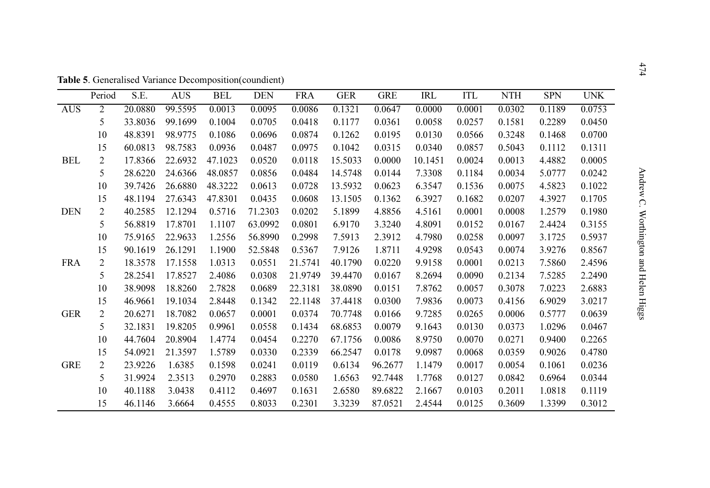|            | Period         | S.E.    | <b>AUS</b> | <b>BEL</b> | <b>DEN</b> | <b>FRA</b> | <b>GER</b> | <b>GRE</b> | <b>IRL</b> | <b>ITL</b> | <b>NTH</b> | <b>SPN</b> | <b>UNK</b> |
|------------|----------------|---------|------------|------------|------------|------------|------------|------------|------------|------------|------------|------------|------------|
| <b>AUS</b> | 2              | 20.0880 | 99.5595    | 0.0013     | 0.0095     | 0.0086     | 0.1321     | 0.0647     | 0.0000     | 0.0001     | 0.0302     | 0.1189     | 0.0753     |
|            | 5              | 33.8036 | 99.1699    | 0.1004     | 0.0705     | 0.0418     | 0.1177     | 0.0361     | 0.0058     | 0.0257     | 0.1581     | 0.2289     | 0.0450     |
|            | 10             | 48.8391 | 98.9775    | 0.1086     | 0.0696     | 0.0874     | 0.1262     | 0.0195     | 0.0130     | 0.0566     | 0.3248     | 0.1468     | 0.0700     |
|            | 15             | 60.0813 | 98.7583    | 0.0936     | 0.0487     | 0.0975     | 0.1042     | 0.0315     | 0.0340     | 0.0857     | 0.5043     | 0.1112     | 0.1311     |
| <b>BEL</b> | $\overline{2}$ | 17.8366 | 22.6932    | 47.1023    | 0.0520     | 0.0118     | 15.5033    | 0.0000     | 10.1451    | 0.0024     | 0.0013     | 4.4882     | 0.0005     |
|            | 5              | 28.6220 | 24.6366    | 48.0857    | 0.0856     | 0.0484     | 14.5748    | 0.0144     | 7.3308     | 0.1184     | 0.0034     | 5.0777     | 0.0242     |
|            | 10             | 39.7426 | 26.6880    | 48.3222    | 0.0613     | 0.0728     | 13.5932    | 0.0623     | 6.3547     | 0.1536     | 0.0075     | 4.5823     | 0.1022     |
|            | 15             | 48.1194 | 27.6343    | 47.8301    | 0.0435     | 0.0608     | 13.1505    | 0.1362     | 6.3927     | 0.1682     | 0.0207     | 4.3927     | 0.1705     |
| <b>DEN</b> | $\overline{2}$ | 40.2585 | 12.1294    | 0.5716     | 71.2303    | 0.0202     | 5.1899     | 4.8856     | 4.5161     | 0.0001     | 0.0008     | 1.2579     | 0.1980     |
|            | 5              | 56.8819 | 17.8701    | 1.1107     | 63.0992    | 0.0801     | 6.9170     | 3.3240     | 4.8091     | 0.0152     | 0.0167     | 2.4424     | 0.3155     |
|            | 10             | 75.9165 | 22.9633    | 1.2556     | 56.8990    | 0.2998     | 7.5913     | 2.3912     | 4.7980     | 0.0258     | 0.0097     | 3.1725     | 0.5937     |
|            | 15             | 90.1619 | 26.1291    | 1.1900     | 52.5848    | 0.5367     | 7.9126     | 1.8711     | 4.9298     | 0.0543     | 0.0074     | 3.9276     | 0.8567     |
| <b>FRA</b> | $\overline{2}$ | 18.3578 | 17.1558    | 1.0313     | 0.0551     | 21.5741    | 40.1790    | 0.0220     | 9.9158     | 0.0001     | 0.0213     | 7.5860     | 2.4596     |
|            | 5              | 28.2541 | 17.8527    | 2.4086     | 0.0308     | 21.9749    | 39.4470    | 0.0167     | 8.2694     | 0.0090     | 0.2134     | 7.5285     | 2.2490     |
|            | 10             | 38.9098 | 18.8260    | 2.7828     | 0.0689     | 22.3181    | 38.0890    | 0.0151     | 7.8762     | 0.0057     | 0.3078     | 7.0223     | 2.6883     |
|            | 15             | 46.9661 | 19.1034    | 2.8448     | 0.1342     | 22.1148    | 37.4418    | 0.0300     | 7.9836     | 0.0073     | 0.4156     | 6.9029     | 3.0217     |
| <b>GER</b> | $\overline{2}$ | 20.6271 | 18.7082    | 0.0657     | 0.0001     | 0.0374     | 70.7748    | 0.0166     | 9.7285     | 0.0265     | 0.0006     | 0.5777     | 0.0639     |
|            | 5              | 32.1831 | 19.8205    | 0.9961     | 0.0558     | 0.1434     | 68.6853    | 0.0079     | 9.1643     | 0.0130     | 0.0373     | 1.0296     | 0.0467     |
|            | 10             | 44.7604 | 20.8904    | 1.4774     | 0.0454     | 0.2270     | 67.1756    | 0.0086     | 8.9750     | 0.0070     | 0.0271     | 0.9400     | 0.2265     |
|            | 15             | 54.0921 | 21.3597    | 1.5789     | 0.0330     | 0.2339     | 66.2547    | 0.0178     | 9.0987     | 0.0068     | 0.0359     | 0.9026     | 0.4780     |
| <b>GRE</b> | $\overline{2}$ | 23.9226 | 1.6385     | 0.1598     | 0.0241     | 0.0119     | 0.6134     | 96.2677    | 1.1479     | 0.0017     | 0.0054     | 0.1061     | 0.0236     |
|            | 5              | 31.9924 | 2.3513     | 0.2970     | 0.2883     | 0.0580     | 1.6563     | 92.7448    | 1.7768     | 0.0127     | 0.0842     | 0.6964     | 0.0344     |
|            | 10             | 40.1188 | 3.0438     | 0.4112     | 0.4697     | 0.1631     | 2.6580     | 89.6822    | 2.1667     | 0.0103     | 0.2011     | 1.0818     | 0.1119     |
|            | 15             | 46.1146 | 3.6664     | 0.4555     | 0.8033     | 0.2301     | 3.3239     | 87.0521    | 2.4544     | 0.0125     | 0.3609     | 1.3399     | 0.3012     |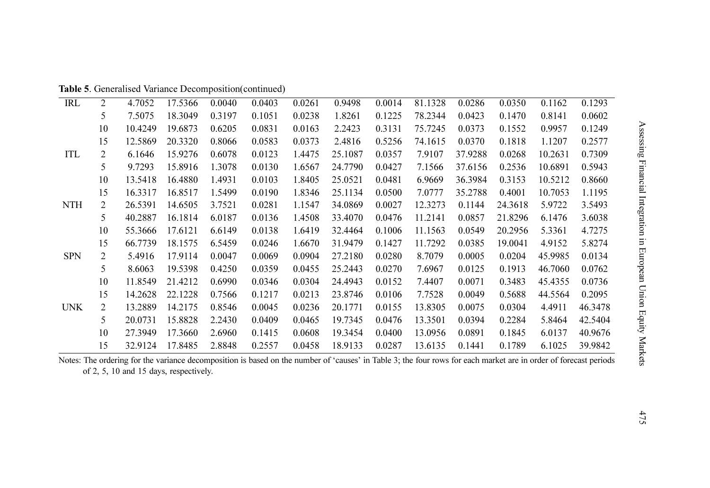| Table 5. Generalised Variance Decomposition(continued) |  |  |
|--------------------------------------------------------|--|--|
|--------------------------------------------------------|--|--|

| IRL        | 2              | 4.7052  | 17.5366 | 0.0040 | 0.0403 | 0.0261 | 0.9498  | 0.0014 | 81.1328 | 0.0286  | 0.0350  | 0.1162  | 0.1293  |
|------------|----------------|---------|---------|--------|--------|--------|---------|--------|---------|---------|---------|---------|---------|
|            | 5              | 7.5075  | 18.3049 | 0.3197 | 0.1051 | 0.0238 | 1.8261  | 0.1225 | 78.2344 | 0.0423  | 0.1470  | 0.8141  | 0.0602  |
|            | 10             | 10.4249 | 19.6873 | 0.6205 | 0.0831 | 0.0163 | 2.2423  | 0.3131 | 75.7245 | 0.0373  | 0.1552  | 0.9957  | 0.1249  |
|            | 15             | 12.5869 | 20.3320 | 0.8066 | 0.0583 | 0.0373 | 2.4816  | 0.5256 | 74.1615 | 0.0370  | 0.1818  | 1.1207  | 0.2577  |
| ITL        | 2              | 6.1646  | 15.9276 | 0.6078 | 0.0123 | 1.4475 | 25.1087 | 0.0357 | 7.9107  | 37.9288 | 0.0268  | 10.2631 | 0.7309  |
|            | 5              | 9.7293  | 15.8916 | 1.3078 | 0.0130 | 1.6567 | 24.7790 | 0.0427 | 7.1566  | 37.6156 | 0.2536  | 10.6891 | 0.5943  |
|            | 10             | 13.5418 | 16.4880 | 1.4931 | 0.0103 | 1.8405 | 25.0521 | 0.0481 | 6.9669  | 36.3984 | 0.3153  | 10.5212 | 0.8660  |
|            | 15             | 16.3317 | 16.8517 | 1.5499 | 0.0190 | 1.8346 | 25.1134 | 0.0500 | 7.0777  | 35.2788 | 0.4001  | 10.7053 | 1.1195  |
| <b>NTH</b> | 2              | 26.5391 | 14.6505 | 3.7521 | 0.0281 | 1.1547 | 34.0869 | 0.0027 | 12.3273 | 0.1144  | 24.3618 | 5.9722  | 3.5493  |
|            | 5              | 40.2887 | 16.1814 | 6.0187 | 0.0136 | 1.4508 | 33.4070 | 0.0476 | 11.2141 | 0.0857  | 21.8296 | 6.1476  | 3.6038  |
|            | 10             | 55.3666 | 17.6121 | 6.6149 | 0.0138 | 1.6419 | 32.4464 | 0.1006 | 11.1563 | 0.0549  | 20.2956 | 5.3361  | 4.7275  |
|            | 15             | 66.7739 | 18.1575 | 6.5459 | 0.0246 | 1.6670 | 31.9479 | 0.1427 | 11.7292 | 0.0385  | 19.0041 | 4.9152  | 5.8274  |
| <b>SPN</b> | $\overline{2}$ | 5.4916  | 17.9114 | 0.0047 | 0.0069 | 0.0904 | 27.2180 | 0.0280 | 8.7079  | 0.0005  | 0.0204  | 45.9985 | 0.0134  |
|            | 5              | 8.6063  | 19.5398 | 0.4250 | 0.0359 | 0.0455 | 25.2443 | 0.0270 | 7.6967  | 0.0125  | 0.1913  | 46.7060 | 0.0762  |
|            | 10             | 11.8549 | 21.4212 | 0.6990 | 0.0346 | 0.0304 | 24.4943 | 0.0152 | 7.4407  | 0.0071  | 0.3483  | 45.4355 | 0.0736  |
|            | 15             | 14.2628 | 22.1228 | 0.7566 | 0.1217 | 0.0213 | 23.8746 | 0.0106 | 7.7528  | 0.0049  | 0.5688  | 44.5564 | 0.2095  |
| <b>UNK</b> | $\overline{2}$ | 13.2889 | 14.2175 | 0.8546 | 0.0045 | 0.0236 | 20.1771 | 0.0155 | 13.8305 | 0.0075  | 0.0304  | 4.4911  | 46.3478 |
|            | 5              | 20.0731 | 15.8828 | 2.2430 | 0.0409 | 0.0465 | 19.7345 | 0.0476 | 13.3501 | 0.0394  | 0.2284  | 5.8464  | 42.5404 |
|            | 10             | 27.3949 | 17.3660 | 2.6960 | 0.1415 | 0.0608 | 19.3454 | 0.0400 | 13.0956 | 0.0891  | 0.1845  | 6.0137  | 40.9676 |
|            | 15             | 32.9124 | 17.8485 | 2.8848 | 0.2557 | 0.0458 | 18.9133 | 0.0287 | 13.6135 | 0.1441  | 0.1789  | 6.1025  | 39.9842 |

Notes: The ordering for the variance decomposition is based on the number of 'causes' in Table 3; the four rows for each market are in order of forecast periods of 2, 5, 10 and 15 days, respectively.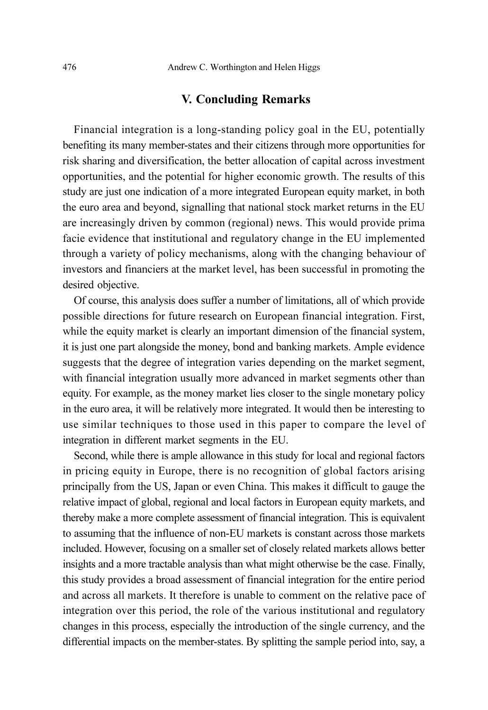## V. Concluding Remarks

Financial integration is a long-standing policy goal in the EU, potentially benefiting its many member-states and their citizens through more opportunities for risk sharing and diversification, the better allocation of capital across investment opportunities, and the potential for higher economic growth. The results of this study are just one indication of a more integrated European equity market, in both the euro area and beyond, signalling that national stock market returns in the EU are increasingly driven by common (regional) news. This would provide prima facie evidence that institutional and regulatory change in the EU implemented through a variety of policy mechanisms, along with the changing behaviour of investors and financiers at the market level, has been successful in promoting the desired objective.

Of course, this analysis does suffer a number of limitations, all of which provide possible directions for future research on European financial integration. First, while the equity market is clearly an important dimension of the financial system, it is just one part alongside the money, bond and banking markets. Ample evidence suggests that the degree of integration varies depending on the market segment, with financial integration usually more advanced in market segments other than equity. For example, as the money market lies closer to the single monetary policy in the euro area, it will be relatively more integrated. It would then be interesting to use similar techniques to those used in this paper to compare the level of integration in different market segments in the EU.

Second, while there is ample allowance in this study for local and regional factors in pricing equity in Europe, there is no recognition of global factors arising principally from the US, Japan or even China. This makes it difficult to gauge the relative impact of global, regional and local factors in European equity markets, and thereby make a more complete assessment of financial integration. This is equivalent to assuming that the influence of non-EU markets is constant across those markets included. However, focusing on a smaller set of closely related markets allows better insights and a more tractable analysis than what might otherwise be the case. Finally, this study provides a broad assessment of financial integration for the entire period and across all markets. It therefore is unable to comment on the relative pace of integration over this period, the role of the various institutional and regulatory changes in this process, especially the introduction of the single currency, and the differential impacts on the member-states. By splitting the sample period into, say, a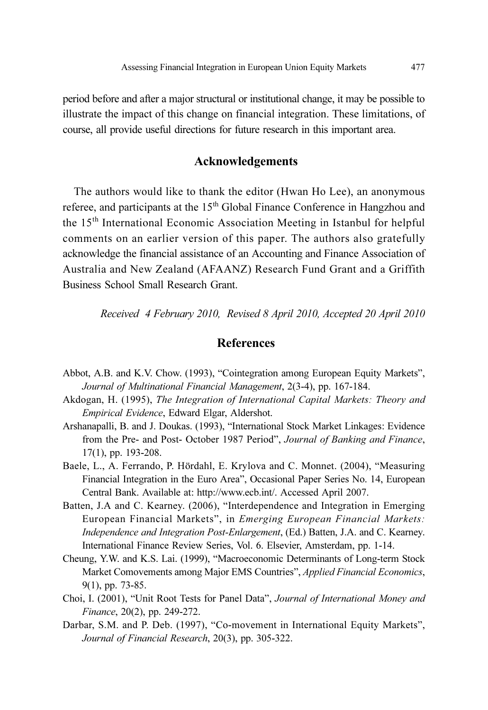period before and after a major structural or institutional change, it may be possible to illustrate the impact of this change on financial integration. These limitations, of course, all provide useful directions for future research in this important area.

# Acknowledgements

The authors would like to thank the editor (Hwan Ho Lee), an anonymous referee, and participants at the 15<sup>th</sup> Global Finance Conference in Hangzhou and the 15th International Economic Association Meeting in Istanbul for helpful comments on an earlier version of this paper. The authors also gratefully acknowledge the financial assistance of an Accounting and Finance Association of Australia and New Zealand (AFAANZ) Research Fund Grant and a Griffith Business School Small Research Grant.

Received 4 February 2010, Revised 8 April 2010, Accepted 20 April 2010

# **References**

- Abbot, A.B. and K.V. Chow. (1993), "Cointegration among European Equity Markets", Journal of Multinational Financial Management, 2(3-4), pp. 167-184.
- Akdogan, H. (1995), The Integration of International Capital Markets: Theory and Empirical Evidence, Edward Elgar, Aldershot.
- Arshanapalli, B. and J. Doukas. (1993), "International Stock Market Linkages: Evidence from the Pre- and Post- October 1987 Period", Journal of Banking and Finance, 17(1), pp. 193-208.
- Baele, L., A. Ferrando, P. Hördahl, E. Krylova and C. Monnet. (2004), "Measuring Financial Integration in the Euro Area", Occasional Paper Series No. 14, European Central Bank. Available at: http://www.ecb.int/. Accessed April 2007.
- Batten, J.A and C. Kearney. (2006), "Interdependence and Integration in Emerging European Financial Markets", in Emerging European Financial Markets: Independence and Integration Post-Enlargement, (Ed.) Batten, J.A. and C. Kearney. International Finance Review Series, Vol. 6. Elsevier, Amsterdam, pp. 1-14.
- Cheung, Y.W. and K.S. Lai. (1999), "Macroeconomic Determinants of Long-term Stock Market Comovements among Major EMS Countries", Applied Financial Economics, 9(1), pp. 73-85.
- Choi, I. (2001), "Unit Root Tests for Panel Data", Journal of International Money and Finance, 20(2), pp. 249-272.
- Darbar, S.M. and P. Deb. (1997), "Co-movement in International Equity Markets", Journal of Financial Research, 20(3), pp. 305-322.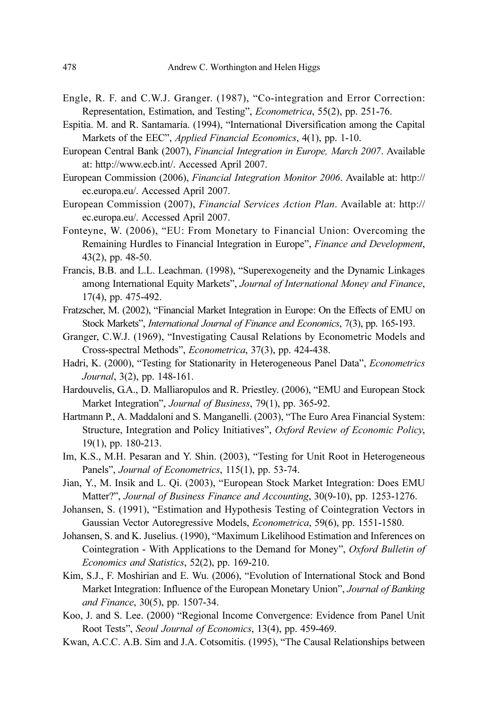- Engle, R. F. and C.W.J. Granger. (1987), "Co-integration and Error Correction: Representation, Estimation, and Testing", Econometrica, 55(2), pp. 251-76.
- Espitia. M. and R. Santamaría. (1994), "International Diversification among the Capital Markets of the EEC", Applied Financial Economics, 4(1), pp. 1-10.
- European Central Bank (2007), Financial Integration in Europe, March 2007. Available at: http://www.ecb.int/. Accessed April 2007.
- European Commission (2006), Financial Integration Monitor 2006. Available at: http:// ec.europa.eu/. Accessed April 2007.
- European Commission (2007), Financial Services Action Plan. Available at: http:// ec.europa.eu/. Accessed April 2007.
- Fonteyne, W. (2006), "EU: From Monetary to Financial Union: Overcoming the Remaining Hurdles to Financial Integration in Europe", Finance and Development, 43(2), pp. 48-50.
- Francis, B.B. and L.L. Leachman. (1998), "Superexogeneity and the Dynamic Linkages among International Equity Markets", Journal of International Money and Finance, 17(4), pp. 475-492.
- Fratzscher, M. (2002), "Financial Market Integration in Europe: On the Effects of EMU on Stock Markets", International Journal of Finance and Economics, 7(3), pp. 165-193.
- Granger, C.W.J. (1969), "Investigating Causal Relations by Econometric Models and Cross-spectral Methods", Econometrica, 37(3), pp. 424-438.
- Hadri, K. (2000), "Testing for Stationarity in Heterogeneous Panel Data", Econometrics Journal, 3(2), pp. 148-161.
- Hardouvelis, G.A., D. Malliaropulos and R. Priestley. (2006), "EMU and European Stock Market Integration", Journal of Business, 79(1), pp. 365-92.
- Hartmann P., A. Maddaloni and S. Manganelli. (2003), "The Euro Area Financial System: Structure, Integration and Policy Initiatives", Oxford Review of Economic Policy, 19(1), pp. 180-213.
- Im, K.S., M.H. Pesaran and Y. Shin. (2003), "Testing for Unit Root in Heterogeneous Panels", Journal of Econometrics, 115(1), pp. 53-74.
- Jian, Y., M. Insik and L. Qi. (2003), "European Stock Market Integration: Does EMU Matter?", Journal of Business Finance and Accounting, 30(9-10), pp. 1253-1276.
- Johansen, S. (1991), "Estimation and Hypothesis Testing of Cointegration Vectors in Gaussian Vector Autoregressive Models, Econometrica, 59(6), pp. 1551-1580.
- Johansen, S. and K. Juselius. (1990), "Maximum Likelihood Estimation and Inferences on Cointegration - With Applications to the Demand for Money", Oxford Bulletin of Economics and Statistics, 52(2), pp. 169-210.
- Kim, S.J., F. Moshirian and E. Wu. (2006), "Evolution of International Stock and Bond Market Integration: Influence of the European Monetary Union", Journal of Banking and Finance, 30(5), pp. 1507-34.
- Koo, J. and S. Lee. (2000) "Regional Income Convergence: Evidence from Panel Unit Root Tests", Seoul Journal of Economics, 13(4), pp. 459-469.
- Kwan, A.C.C. A.B. Sim and J.A. Cotsomitis. (1995), "The Causal Relationships between